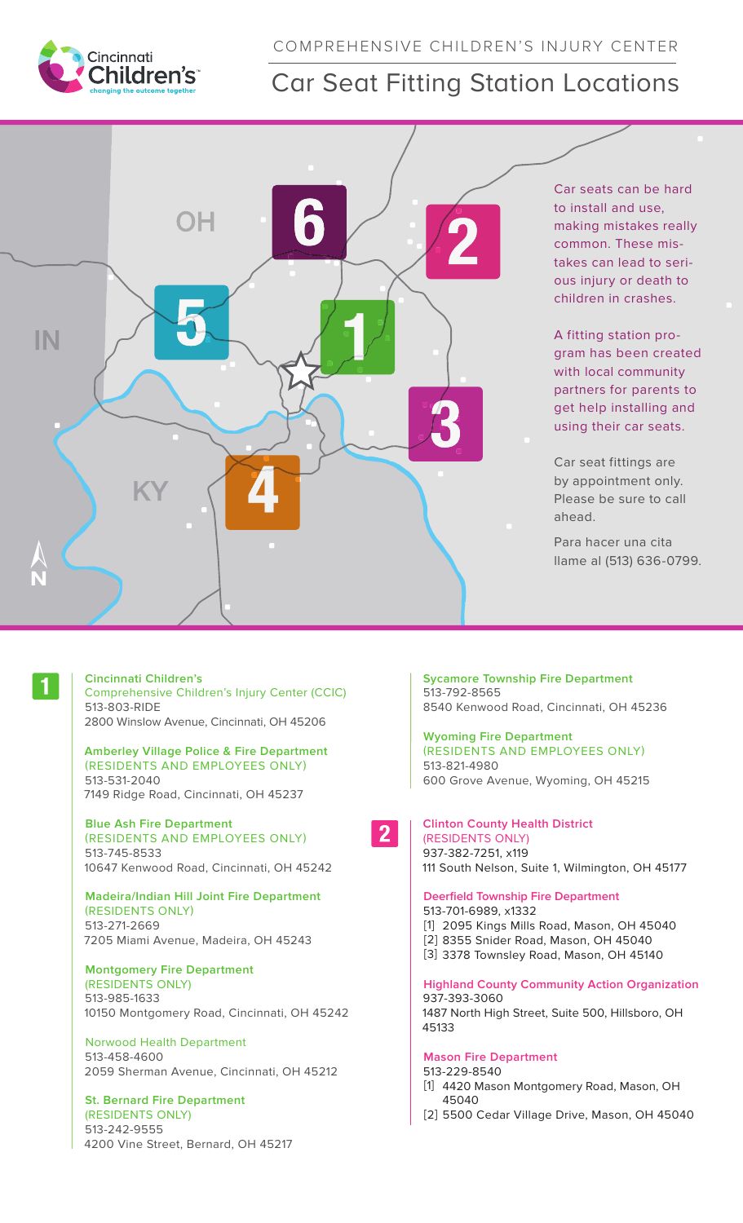

# COMPREHENSIVE CHILDREN'S INJURY CENTER

# Car Seat Fitting Station Locations



Car seats can be hard to install and use, making mistakes really common. These mistakes can lead to serious injury or death to children in crashes.

A fitting station program has been created with local community partners for parents to get help installing and using their car seats.

Car seat fittings are by appointment only. Please be sure to call ahead.

Para hacer una cita llame al (513) 636-0799.

#### **Cincinnati Children's**

Comprehensive Children's Injury Center (CCIC) 513-803-RIDE 2800 Winslow Avenue, Cincinnati, OH 45206

### **Amberley Village Police & Fire Department** (RESIDENTS AND EMPLOYEES ONLY) 513-531-2040 7149 Ridge Road, Cincinnati, OH 45237

**Blue Ash Fire Department** (RESIDENTS AND EMPLOYEES ONLY) 513-745-8533

10647 Kenwood Road, Cincinnati, OH 45242 **Madeira/Indian Hill Joint Fire Department**

(RESIDENTS ONLY) 513-271-2669 7205 Miami Avenue, Madeira, OH 45243

# **Montgomery Fire Department**

(RESIDENTS ONLY) 513-985-1633 10150 Montgomery Road, Cincinnati, OH 45242

Norwood Health Department 513-458-4600 2059 Sherman Avenue, Cincinnati, OH 45212

# **St. Bernard Fire Department**

(RESIDENTS ONLY) 513-242-9555 4200 Vine Street, Bernard, OH 45217 **Sycamore Township Fire Department** 513-792-8565 8540 Kenwood Road, Cincinnati, OH 45236

**Wyoming Fire Department** (RESIDENTS AND EMPLOYEES ONLY) 513-821-4980 600 Grove Avenue, Wyoming, OH 45215

 $2<sup>1</sup>$ 

## **Clinton County Health District**  (RESIDENTS ONLY) 937-382-7251, x119 111 South Nelson, Suite 1, Wilmington, OH 45177

**Deerfield Township Fire Department** 513-701-6989, x1332 [1] 2095 Kings Mills Road, Mason, OH 45040 [2] 8355 Snider Road, Mason, OH 45040 [3] 3378 Townsley Road, Mason, OH 45140

**Highland County Community Action Organization** 937-393-3060 1487 North High Street, Suite 500, Hillsboro, OH 45133

# **Mason Fire Department**

513-229-8540 [1] 4420 Mason Montgomery Road, Mason, OH 45040 [2] 5500 Cedar Village Drive, Mason, OH 45040